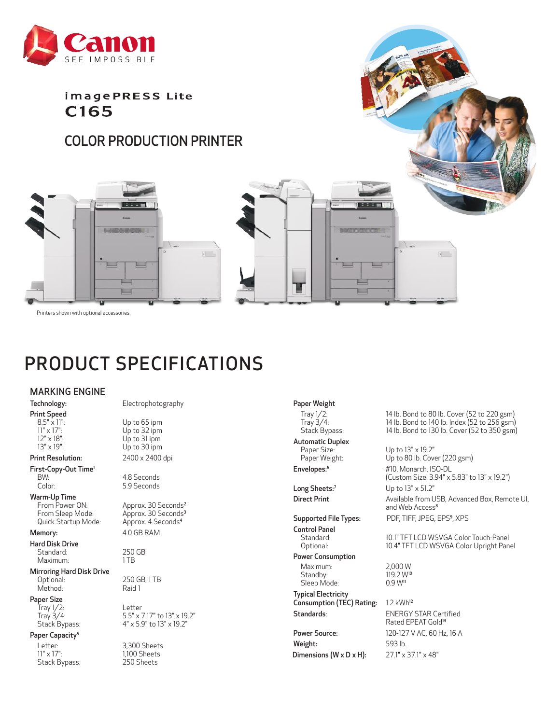

imagePRESS Lite C<sub>165</sub>

# COLOR PRODUCTION PRINTER





Printers shown with optional accessories.

# PRODUCT SPECIFICATIONS

### MARKING ENGINE

Print Speed<br> $8.5" \times 11"$ :

Print Resolution: 2400 x 2400 dpi

First-Copy-Out Time<sup>1</sup><br>BW: BW:  $\begin{array}{ccc} 1 & 4.8 \text{ seconds} \\ \text{Color:} & 5.9 \text{ seconds} \end{array}$ 

Warm-Up Time<br>From Power ON: From Power ON: Approx. 30 Seconds<sup>2</sup><br>From Sleep Mode: Approx. 30 Seconds<sup>3</sup> Quick Startup Mode:

Hard Disk Drive Standard: 250 GB<br>Maximum: 1TB Maximum:

Mirroring Hard Disk Drive<br>Optional: Method:

#### Paper Size

 $\frac{1}{2}$  Tray  $\frac{1}{2}$ : Letter<br>Tray  $\frac{3}{4}$ : 5.5" x

### Paper Capacity<sup>5</sup>

Stack Bypass:

Technology: Electrophotography

8.5" x 11":<br>11" x 17": Up to 32 ipm 11" x 17":<br>
12" x 18":<br>
Up to 31 ipm  $12" \times 18"$ :<br> $13" \times 19"$ :<br> $13" \times 19"$ :<br>Up to 30 ipm Up to 30 ipm

5.9 Seconds

Approx. 30 Seconds<sup>3</sup><br>Approx. 4 Seconds<sup>4</sup> Memory: 4.0 GB RAM

250 GB, 1 TB<br>Raid 1

Tray 3/4: 5.5" x 7.17" to 13" x 19.2"<br>Stack Bypass: 4" x 5.9" to 13" x 19.2" 4" x 5.9" to 13" x 19.2"

Letter: 3,300 Sheets<br>11" x 17": 1,100 Sheets 1,100 Sheets<br>250 Sheets

# Paper Weight

Automatic Duplex<br>Paper Size:

Long Sheets:<sup>7</sup> Up to 13" x 51.2"

Supported File Types:

Control Panel<br>Standard: Power Consumption

Maximum: 2,000 W<br>Standby: 119.2 W<sup>10</sup> Standby: 119.2 W<br>Sleep Mode: 0.9 W<sup>11</sup> Sleep Mode: Typical Electricity

 $C$ onsumption (TEC) Rating: 1.2 kWh<sup>12</sup> Standards: ENERGY STAR Certified

Weight: 593 lb. Dimensions (W x D x H): 27.1" x 37.1" x 48"

Tray 1/2: 14 lb. Bond to 80 lb. Cover (52 to 220 gsm)<br>Tray 3/4: 14 lb. Bond to 140 lb. Index (52 to 256 gsm) Tray 3/4: 14 lb. Bond to 140 lb. Index (52 to 256 gsm)<br>Stack Bypass: 14 lb. Bond to 130 lb. Cover (52 to 350 gsm) 14 lb. Bond to 130 lb. Cover  $(52$  to 350 gsm)

Paper Size: Up to 13" x 19.2"<br>Paper Weight: Up to 80 lb. Cove Up to 80 lb. Cover (220 gsm) Envelopes:<sup>6</sup> #10, Monarch, ISO-DL (Custom Size: 3.94" x 5.83" to 13" x 19.2")

Direct Print Available from USB, Advanced Box, Remote UI, and Web Access<sup>8</sup> PDF, TIFF, JPEG, EPS<sup>9</sup>, XPS

Standard: 10.1" TFT LCD WSVGA Color Touch-Panel<br>10.4" TFT LCD WSVGA Color Upright Pan 10.4" TFT LCD WSVGA Color Upright Panel

Rated EPEAT Gold<sup>13</sup> Power Source: 120-127 V AC, 60 Hz, 16 A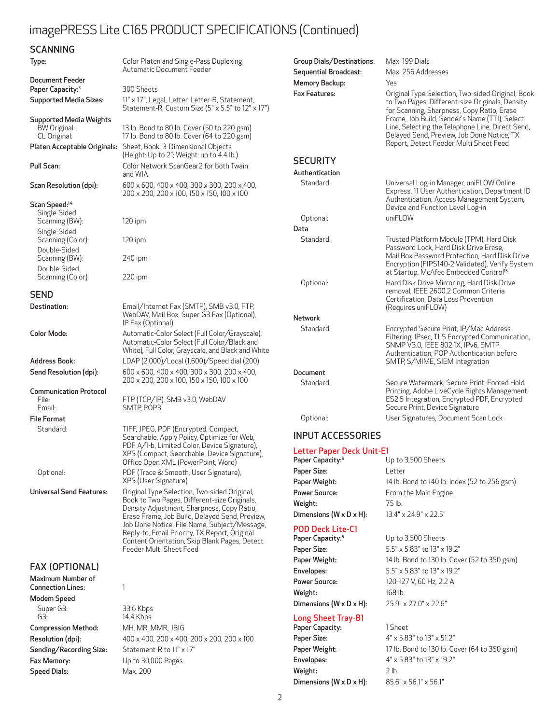## imagePRESS Lite C165 PRODUCT SPECIFICATIONS (Continued)

| <b>SCANNING</b>                                                                                                                                    |                                                                                                                                                                                                                                                                                                                                                                           |                                                   |
|----------------------------------------------------------------------------------------------------------------------------------------------------|---------------------------------------------------------------------------------------------------------------------------------------------------------------------------------------------------------------------------------------------------------------------------------------------------------------------------------------------------------------------------|---------------------------------------------------|
| Type:                                                                                                                                              | Color Platen and Single-Pass Duplexing<br>Automatic Document Feeder                                                                                                                                                                                                                                                                                                       | Group                                             |
| Document Feeder<br>Paper Capacity: <sup>5</sup><br><b>Supported Media Sizes:</b>                                                                   | 300 Sheets<br>11" x 17", Legal, Letter, Letter-R, Statement,<br>Statement-R, Custom Size (5" x 5.5" to 12" x 17")                                                                                                                                                                                                                                                         | Seque<br>Memc<br>Fax Fe                           |
| Supported Media Weights<br>BW Original:<br>CL Original:                                                                                            | 13 lb. Bond to 80 lb. Cover (50 to 220 gsm)<br>17 lb. Bond to 80 lb. Cover (64 to 220 gsm)                                                                                                                                                                                                                                                                                |                                                   |
| Platen Acceptable Originals:                                                                                                                       | Sheet, Book, 3-Dimensional Objects<br>(Height: Up to 2"; Weight: up to 4.4 lb.)                                                                                                                                                                                                                                                                                           |                                                   |
| Pull Scan:                                                                                                                                         | Color Network ScanGear2 for both Twain<br>and WIA                                                                                                                                                                                                                                                                                                                         | <b>SECI</b><br>Authe                              |
| Scan Resolution (dpi):                                                                                                                             | 600 x 600, 400 x 400, 300 x 300, 200 x 400,<br>200 x 200, 200 x 100, 150 x 150, 100 x 100                                                                                                                                                                                                                                                                                 | Sta                                               |
| Scan Speed: <sup>14</sup><br>Single-Sided<br>Scanning (BW):<br>Single-Sided<br>Scanning (Color):<br>Double-Sided<br>Scanning (BW):<br>Double-Sided | $120$ ipm<br>$120$ ipm<br>240 ipm                                                                                                                                                                                                                                                                                                                                         | Opt<br>Data<br>Sta                                |
| Scanning (Color):                                                                                                                                  | $220$ ipm                                                                                                                                                                                                                                                                                                                                                                 | Opt                                               |
| <b>SEND</b><br>Destination:                                                                                                                        | Email/Internet Fax (SMTP), SMB v3.0, FTP,<br>WebDAV, Mail Box, Super G3 Fax (Optional),<br>IP Fax (Optional)                                                                                                                                                                                                                                                              | Netwo                                             |
| <b>Color Mode:</b>                                                                                                                                 | Automatic-Color Select (Full Color/Grayscale),<br>Automatic-Color Select (Full Color/Black and<br>White), Full Color, Grayscale, and Black and White                                                                                                                                                                                                                      | Sta                                               |
| <b>Address Book:</b>                                                                                                                               | LDAP (2,000)/Local (1,600)/Speed dial (200)                                                                                                                                                                                                                                                                                                                               |                                                   |
| Send Resolution (dpi):                                                                                                                             | 600 x 600, 400 x 400, 300 x 300, 200 x 400,<br>200 x 200, 200 x 100, 150 x 150, 100 x 100                                                                                                                                                                                                                                                                                 | Docur<br>Sta                                      |
| <b>Communication Protocol</b><br>File:                                                                                                             | FTP (TCP/IP), SMB v3.0, WebDAV                                                                                                                                                                                                                                                                                                                                            |                                                   |
| Email:                                                                                                                                             | SMTP, POP3                                                                                                                                                                                                                                                                                                                                                                |                                                   |
| <b>File Format</b>                                                                                                                                 |                                                                                                                                                                                                                                                                                                                                                                           | Opt                                               |
| Standard:                                                                                                                                          | TIFF, JPEG, PDF (Encrypted, Compact,<br>Searchable, Apply Policy, Optimize for Web,<br>PDF A/1-b, Limited Color, Device Signature),<br>XPS (Compact, Searchable, Device Signature),<br>Office Open XML (PowerPoint, Word)                                                                                                                                                 | INPL<br>Lette<br>Paper                            |
| Optional:                                                                                                                                          | PDF (Trace & Smooth, User Signature),<br>XPS (User Signature)                                                                                                                                                                                                                                                                                                             | Paper<br>Paper                                    |
| <b>Universal Send Features:</b>                                                                                                                    | Original Type Selection, Two-sided Original,<br>Book to Two Pages, Different-size Originals,<br>Density Adjustment, Sharpness, Copy Ratio,<br>Erase Frame, Job Build, Delayed Send, Preview,<br>Job Done Notice, File Name, Subject/Message,<br>Reply-to, Email Priority, TX Report, Original<br>Content Orientation, Skip Blank Pages, Detect<br>Feeder Multi Sheet Feed | Power<br>Weigh<br>Dimer<br>POD.<br>Paper<br>Paper |
| <b>FAX (OPTIONAL)</b>                                                                                                                              |                                                                                                                                                                                                                                                                                                                                                                           | Paper<br>Envel                                    |
| Maximum Number of                                                                                                                                  |                                                                                                                                                                                                                                                                                                                                                                           | Power                                             |
| <b>Connection Lines:</b><br><b>Modem Speed</b>                                                                                                     | 1                                                                                                                                                                                                                                                                                                                                                                         | Weigh                                             |
| Super G3:<br>G3:                                                                                                                                   | 33.6 Kbps<br>14.4 Kbps                                                                                                                                                                                                                                                                                                                                                    | Dimer<br>Long                                     |
| <b>Compression Method:</b>                                                                                                                         | MH, MR, MMR, JBIG                                                                                                                                                                                                                                                                                                                                                         | Paper                                             |
| Resolution (dpi):                                                                                                                                  | 400 x 400, 200 x 400, 200 x 200, 200 x 100                                                                                                                                                                                                                                                                                                                                | Paper                                             |
| Sending/Recording Size:                                                                                                                            | Statement-R to 11" x 17"                                                                                                                                                                                                                                                                                                                                                  | Paper                                             |
| Fax Memory:                                                                                                                                        | Up to 30,000 Pages                                                                                                                                                                                                                                                                                                                                                        | Envel                                             |
| <b>Speed Dials:</b>                                                                                                                                | Max. 200                                                                                                                                                                                                                                                                                                                                                                  | Weigh                                             |

| <b>Group Dials/Destinations:</b><br><b>Sequential Broadcast:</b><br>Memory Backup:<br><b>Fax Features:</b> | Max. 199 Dials<br>Max. 256 Addresses<br>Yes<br>Original Type Selection, Two-sided Original, Book<br>to Two Pages, Different-size Originals, Density<br>for Scanning, Sharpness, Copy Ratio, Erase<br>Frame, Job Build, Sender's Name (TTI), Select<br>Line, Selecting the Telephone Line, Direct Send,<br>Delayed Send, Preview, Job Done Notice, TX<br>Report, Detect Feeder Multi Sheet Feed |
|------------------------------------------------------------------------------------------------------------|------------------------------------------------------------------------------------------------------------------------------------------------------------------------------------------------------------------------------------------------------------------------------------------------------------------------------------------------------------------------------------------------|
| <b>SECURITY</b>                                                                                            |                                                                                                                                                                                                                                                                                                                                                                                                |
| Authentication                                                                                             |                                                                                                                                                                                                                                                                                                                                                                                                |
| Standard:                                                                                                  | Universal Log-in Manager, uniFLOW Online<br>Express, 11 User Authentication, Department ID<br>Authentication, Access Management System,<br>Device and Function Level Log-in                                                                                                                                                                                                                    |
| Optional:                                                                                                  | uniFLOW                                                                                                                                                                                                                                                                                                                                                                                        |
| Data                                                                                                       |                                                                                                                                                                                                                                                                                                                                                                                                |
| Standard:                                                                                                  | Trusted Platform Module (TPM), Hard Disk<br>Password Lock, Hard Disk Drive Erase,<br>Mail Box Password Protection, Hard Disk Drive<br>Encryption (FIPS140-2 Validated), Verify System<br>at Startup, McAfee Embedded Control <sup>is</sup>                                                                                                                                                     |
| Optional:                                                                                                  | Hard Disk Drive Mirroring, Hard Disk Drive<br>removal, IEEE 2600.2 Common Criteria<br>Certification, Data Loss Prevention<br>(Requires uniFLOW)                                                                                                                                                                                                                                                |
| <b>Network</b>                                                                                             |                                                                                                                                                                                                                                                                                                                                                                                                |
| Standard:                                                                                                  | Encrypted Secure Print, IP/Mac Address<br>Filtering, IPsec, TLS Encrypted Communication,<br>SNMP V3.0, IEEE 802.1X, IPv6, SMTP<br>Authentication, POP Authentication before<br>SMTP, S/MIME, SIEM Integration                                                                                                                                                                                  |
| Document                                                                                                   |                                                                                                                                                                                                                                                                                                                                                                                                |
| Standard:                                                                                                  | Secure Watermark, Secure Print, Forced Hold<br>Printing, Adobe LiveCycle Rights Management<br>ES2.5 Integration, Encrypted PDF, Encrypted<br>Secure Print, Device Signature                                                                                                                                                                                                                    |
| Optional:                                                                                                  | User Signatures, Document Scan Lock                                                                                                                                                                                                                                                                                                                                                            |

### INPUT ACCESSORIES

#### Letter Paper Deck Unit-E1

| Paper Capacity: <sup>5</sup>          | Up to 3,500 Sheets                           |
|---------------------------------------|----------------------------------------------|
| Paper Size:                           | Letter                                       |
| Paper Weight:                         | 14 lb. Bond to 140 lb. Index (52 to 256 gsm) |
| <b>Power Source:</b>                  | From the Main Engine                         |
| Weight:                               | 75 lb.                                       |
| Dimensions ( $W \times D \times H$ ): | $13.4" \times 24.9" \times 22.5"$            |
|                                       |                                              |

# POD Deck Lite-C1<br>Paper Capacity:<sup>5</sup>

Weight: 168 lb. Dimensions (W x D x H): 25.9" x 27.0" x 22.6"

### Long Sheet Tray-B1

Paper Capacity: 1 Sheet Paper Size:  $4" \times 5.83"$  to 13"  $\times 51.2"$ Envelopes: 4" x 5.83" to 13" x 19.2" Weight: 2 lb. Dimensions (W x D x H): 85.6" x 56.1" x 56.1"

Up to 3,500 Sheets Paper Size: 5.5" x 5.83" to 13" x 19.2" Paper Weight: 14 lb. Bond to 130 lb. Cover (52 to 350 gsm) Envelopes: 5.5" x 5.83" to 13" x 19.2" Power Source: 120-127 V, 60 Hz, 2.2 A

Paper Weight: 17 lb. Bond to 130 lb. Cover (64 to 350 gsm)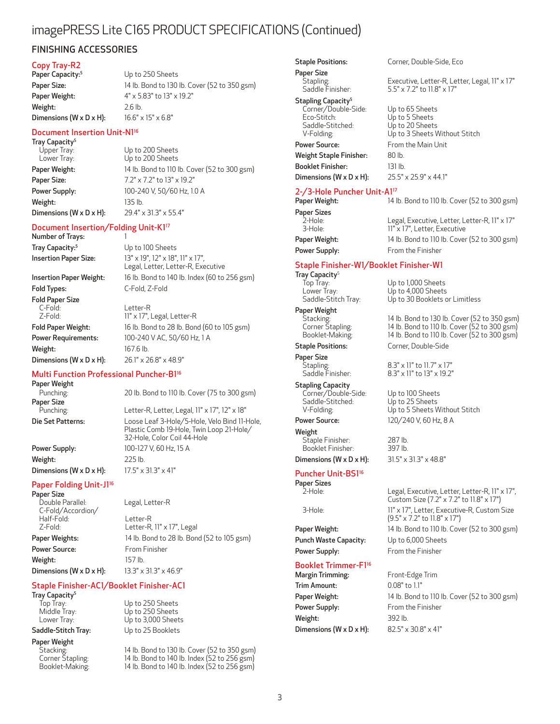## imagePRESS Lite C165 PRODUCT SPECIFICATIONS (Continued)

### FINISHING ACCESSORIES

#### Copy Tray-R2

Weight: 2.6 lb.

Paper Capacity:<sup>5</sup> Up to 250 Sheets Paper Size: 14 lb. Bond to 130 lb. Cover (52 to 350 gsm) Paper Weight: 4" x 5.83" to 13" x 19.2" **Dimensions (W x D x H):**  $16.6" \times 15" \times 6.8"$ 

#### Document Insertion Unit-N116

**Tray Capacity<sup>5</sup>**<br>Upper Tray: Upper Tray:<br>
Up to 200 Sheets<br>
Lower Tray: Up to 200 Sheets Paper Size: 7.2" x 7.2" to 13" x 19.2" Weight: 135 lb. Dimensions (W x D x H): 29.4" x 31.3" x 55.4"

Up to 200 Sheets Paper Weight: 14 lb. Bond to 110 lb. Cover (52 to 300 gsm) Power Supply: 100-240 V, 50/60 Hz, 1.0 A

### Document Insertion/Folding Unit-K117

Number of Trays: 1 Tray Capacity:<sup>5</sup> Up to 100 Sheets

Fold Types: C-Fold, Z-Fold Fold Paper Size C-Fold: Letter-R **Weight:** 167.6 lb. Dimensions (W x D x H): 26.1" x 26.8" x 48.9"

Insertion Paper Size: 13" x 19", 12" x 18", 11" x 17", Legal, Letter, Letter-R, Executive Insertion Paper Weight: 16 lb. Bond to 140 lb. Index (60 to 256 gsm) 11" x 17", Legal, Letter-R

Fold Paper Weight: 16 lb. Bond to 28 lb. Bond (60 to 105 gsm) Power Requirements: 100-240 V AC, 50/60 Hz, 1 A

20 lb. Bond to 110 lb. Cover (75 to 300 gsm)

Letter-R, Letter, Legal, 11" x 17", 12" x 18"

### Multi Function Professional Puncher-B116

**Paper Weight**<br>Punching: Paper Size<br>Punching Die Set Patterns: Loose Leaf 3-Hole/5-Hole, Velo Bind 11-Hole,

Plastic Comb 19-Hole, Twin Loop 21-Hole/ 32-Hole, Color Coil 44-Hole Power Supply: 100-127 V, 60 Hz, 15 A

Weight: 225 lb. Dimensions (W x D x H):  $17.5" \times 31.3" \times 41"$ 

### Paper Folding Unit-J1<sup>16</sup>

Paper Size<br>Double Parallel: C-Fold/Accordion/ Half-Fold:<br>
Z-Fold: Letter-R<br>
Letter-R

Legal, Letter-R Letter-R, 11" x 17", Legal Paper Weights: 14 lb. Bond to 28 lb. Bond (52 to 105 gsm) Power Source: From Finisher Weight: 157 lb. Dimensions (W x D x H): 13.3" x 31.3" x 46.9"

### Staple Finisher-AC1/Booklet Finisher-AC1

Tray Capacity<sup>5</sup>

Paper Weight<br>Stacking:

Top Tray: Up to 250 Sheets Middle Tray: Up to 250 Sheets Lower Tray: Up to 3,000 Sheets Saddle-Stitch Tray: Up to 25 Booklets

Stacking: 14 lb. Bond to 130 lb. Cover (52 to 350 gsm)<br>Corner Stapling: 14 lb. Bond to 140 lb. Index (52 to 256 gsm) Corner Stapling: 14 lb. Bond to 140 lb. Index (52 to 256 gsm)<br>Booklet-Making: 14 lb. Bond to 140 lb. Index (52 to 256 gsm) 14 lb. Bond to 140 lb. Index (52 to 256 gsm)

Paper Size<br>Stapling:

## Stapling Capacity<sup>5</sup>

Corner/Double-Side: Up to 65 Sheets<br>Fro-Stitch: Un to 5 Sheets Saddle-Stitched:<br>V-Folding:

Weight Staple Finisher: 80 lb. Booklet Finisher: 131 lb.

# 2-/3-Hole Puncher Unit-A1<sup>17</sup><br>Paper Weight: 14

Paper Sizes<br>2-Hole:

**Tray Capacity<sup>5</sup>**<br>Top Tray:

Paper Weight<br>Stacking:<br>Corner Stapling:

Paper Size<br>Stapling:<br>Saddle Finisher:

Stapling Capacity Corner/Double-Side: Up to 100 Sheets Saddle-Stitched:<br>V-Folding:

Weight Staple Finisher: 287 lb. Booklet Finisher:

### Puncher Unit-BS1<sup>16</sup>

Paper Sizes<br>2-Hole:

Punch Waste Capacity: Up to 6,000 Sheets

### Booklet Trimmer-F116

Trim Amount: 0.08" to 1.1" Power Supply: From the Finisher Weight: 392 lb. **Dimensions (W x D x H):** 82.5" x 30.8" x 41"

Staple Positions: Corner, Double-Side, Eco

Stapling: Executive, Letter-R, Letter, Legal, 11" x 17" 5.5" x 7.2" to 11.8" x 17"

Up to 5 Sheets<br>Up to 20 Sheets Up to 3 Sheets Without Stitch Power Source: From the Main Unit

Dimensions (W x D x H): 25.5" x 25.9" x 44.1"

14 lb. Bond to 110 lb. Cover (52 to 300 gsm) 2-Hole: Legal, Executive, Letter, Letter-R, 11" x 17" 11" x 17", Letter, Executive Paper Weight: 14 lb. Bond to 110 lb. Cover (52 to 300 gsm) Power Supply: From the Finisher

Staple Finisher-W1/Booklet Finisher-W1

Top Tray: Up to 1,000 Sheets<br>
Lower Tray: Up to 4,000 Sheets Lower Tray: Up to 4,000 Sheets<br>Saddle-Stitch Tray: Up to 30 Booklets o Up to 30 Booklets or Limitless

Stacking: 14 lb. Bond to 130 lb. Cover (52 to 350 gsm) Corner Stapling: 14 lb. Bond to 110 lb. Cover (52 to 300 gsm) Booklet-Making: 14 lb. Bond to 110 lb. Cover (52 to 300 gsm) Staple Positions: Corner, Double-Side

8.3" x 11" to 11.7" x 17" 8.3" x 11" to 13" x 19.2"

Up to 5 Sheets Without Stitch Power Source: 120/240 V, 60 Hz, 8 A

**Dimensions (W x D x H):**  $31.5" \times 31.3" \times 48.8"$ 

Legal, Executive, Letter, Letter-R, 11" x 17", Custom Size (7.2" x 7.2" to 11.8" x 17") 3-Hole: 11" x 17", Letter, Executive-R, Custom Size (9.5" x 7.2" to 11.8" x 17") Paper Weight: 14 lb. Bond to 110 lb. Cover (52 to 300 gsm) Power Supply: From the Finisher

Margin Trimming: Front-Edge Trim Paper Weight: 14 lb. Bond to 110 lb. Cover (52 to 300 gsm)